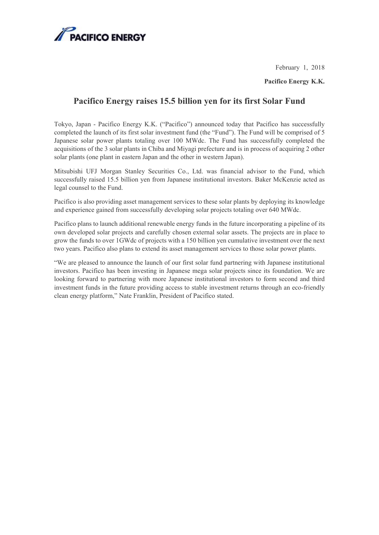

February 1, 2018

**Pacifico Energy K.K.** 

## **Pacifico Energy raises 15.5 billion yen for its first Solar Fund**

Tokyo, Japan - Pacifico Energy K.K. ("Pacifico") announced today that Pacifico has successfully completed the launch of its first solar investment fund (the "Fund"). The Fund will be comprised of 5 Japanese solar power plants totaling over 100 MWdc. The Fund has successfully completed the acquisitions of the 3 solar plants in Chiba and Miyagi prefecture and is in process of acquiring 2 other solar plants (one plant in eastern Japan and the other in western Japan).

Mitsubishi UFJ Morgan Stanley Securities Co., Ltd. was financial advisor to the Fund, which successfully raised 15.5 billion yen from Japanese institutional investors. Baker McKenzie acted as legal counsel to the Fund.

Pacifico is also providing asset management services to these solar plants by deploying its knowledge and experience gained from successfully developing solar projects totaling over 640 MWdc.

Pacifico plans to launch additional renewable energy funds in the future incorporating a pipeline of its own developed solar projects and carefully chosen external solar assets. The projects are in place to grow the funds to over 1GWdc of projects with a 150 billion yen cumulative investment over the next two years. Pacifico also plans to extend its asset management services to those solar power plants.

"We are pleased to announce the launch of our first solar fund partnering with Japanese institutional investors. Pacifico has been investing in Japanese mega solar projects since its foundation. We are looking forward to partnering with more Japanese institutional investors to form second and third investment funds in the future providing access to stable investment returns through an eco-friendly clean energy platform," Nate Franklin, President of Pacifico stated.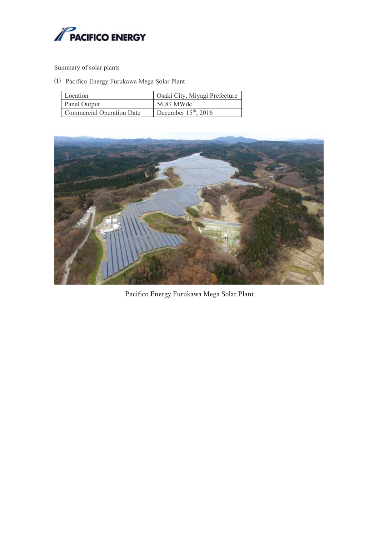

Summary of solar plants

① Pacifico Energy Furukawa Mega Solar Plant

| Location                         | Osaki City, Miyagi Prefecture |
|----------------------------------|-------------------------------|
| Panel Output                     | 56.87 MWdc                    |
| <b>Commercial Operation Date</b> | December $15th$ , 2016        |



Pacifico Energy Furukawa Mega Solar Plant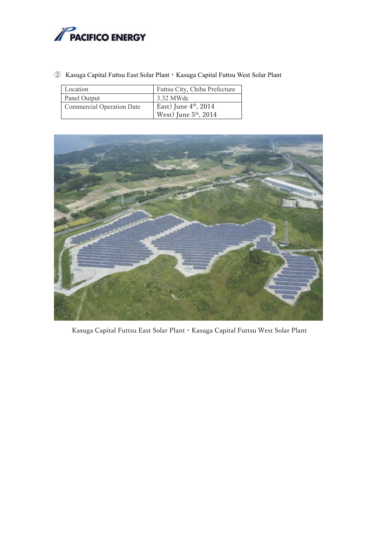

② Kasuga Capital Futtsu East Solar Plant・Kasuga Capital Futtsu West Solar Plant

| Location                         | Futtsu City, Chiba Prefecture     |
|----------------------------------|-----------------------------------|
| Panel Output                     | 3.32 MWdc                         |
| <b>Commercial Operation Date</b> | East) June $4th$ , 2014           |
|                                  | West) June 5 <sup>th</sup> , 2014 |



Kasuga Capital Futtsu East Solar Plant・Kasuga Capital Futtsu West Solar Plant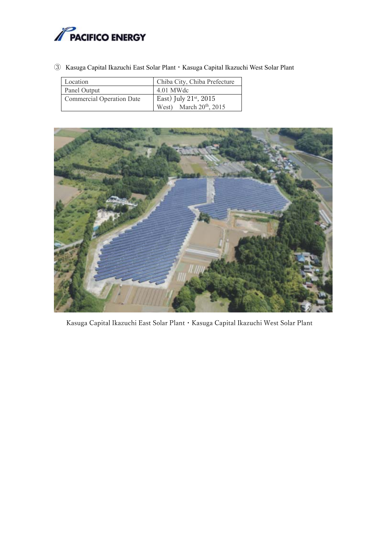

③ Kasuga Capital Ikazuchi East Solar Plant・Kasuga Capital Ikazuchi West Solar Plant

| Location                         | Chiba City, Chiba Prefecture  |
|----------------------------------|-------------------------------|
| Panel Output                     | 4.01 MWdc                     |
| <b>Commercial Operation Date</b> | East) July $21^{st}$ , $2015$ |
|                                  | West) March $20th$ , 2015     |



Kasuga Capital Ikazuchi East Solar Plant・Kasuga Capital Ikazuchi West Solar Plant